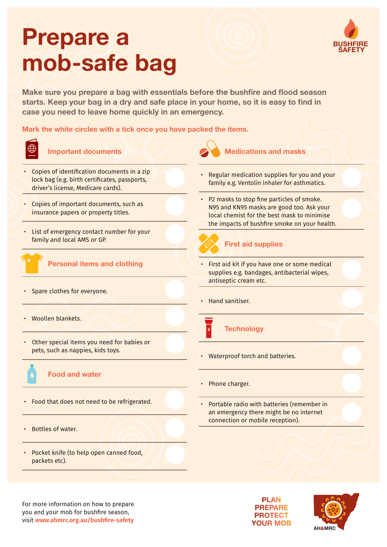# **Prepare a mob-safe bag**

**Make sure you prepare a bag with essentials before the bushfire and flood season starts. Keep your bag in a dry and safe place in your home, so it is easy to find in case you need to leave home quickly in an emergency.** 

## **Mark the white circles with a tick once you have packed the items.**



#### **Important documents**

- Copies of identification documents in a zip lock bag (e.g. birth certificates, passports, driver's license, Medicare cards).
- Copies of important documents, such as insurance papers or property titles.
- List of emergency contact number for your family and local AMS or GP.



## **Personal items and clothing**

- Spare clothes for everyone.
- Woollen blankets.
- Other special items you need for babies or pets, such as nappies, kids toys.

## **Food and water**

- Food that does not need to be refrigerated.
- Bottles of water.
- Pocket knife (to help open canned food, packets etc).



#### **Medications and masks**

- Regular medication supplies for you and your family e.g. Ventolin inhaler for asthmatics.
- P2 masks to stop fine particles of smoke. N95 and KN95 masks are good too. Ask your local chemist for the best mask to minimise the impacts of bushfire smoke on your health.



## **First aid supplies**

- First aid kit if you have one or some medical supplies e.g. bandages, antibacterial wipes, antiseptic cream etc.
- Hand sanitiser.



## **Technology**

- Waterproof torch and batteries.
- Phone charger.
- Portable radio with batteries (remember in an emergency there might be no internet connection or mobile reception).